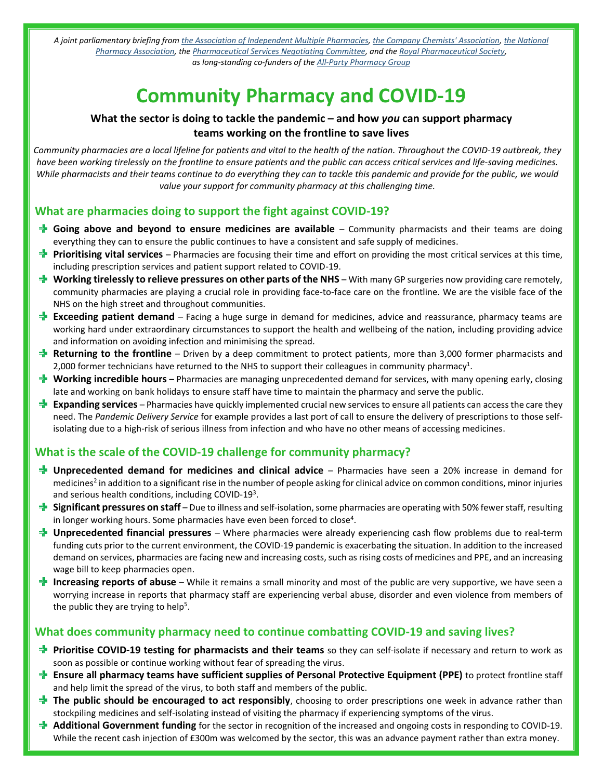*A joint parliamentary briefing fro[m the Association of Independent Multiple Pharmacies,](https://www.aimp.co.uk/) [the Company Chemists' Association,](https://thecca.org.uk/) [the National](https://www.npa.co.uk/)  [Pharmacy Association,](https://www.npa.co.uk/) th[e Pharmaceutical Services Negotiating Committee,](http://psnc.org.uk/) and th[e Royal Pharmaceutical Society,](https://www.rpharms.com/) as long-standing co-funders of the [All-Party Pharmacy Group](https://www.pharmacyappg.co.uk/)*

# **Community Pharmacy and COVID-19**

#### **What the sector is doing to tackle the pandemic – and how** *you* **can support pharmacy teams working on the frontline to save lives**

*Community pharmacies are a local lifeline for patients and vital to the health of the nation. Throughout the COVID-19 outbreak, they have been working tirelessly on the frontline to ensure patients and the public can access critical services and life-saving medicines. While pharmacists and their teams continue to do everything they can to tackle this pandemic and provide for the public, we would value your support for community pharmacy at this challenging time.*

### **What are pharmacies doing to support the fight against COVID-19?**

- **Going above and beyond to ensure medicines are available**  Community pharmacists and their teams are doing everything they can to ensure the public continues to have a consistent and safe supply of medicines.
- **Prioritising vital services** Pharmacies are focusing their time and effort on providing the most critical services at this time, including prescription services and patient support related to COVID-19.
- **Working tirelessly to relieve pressures on other parts of the NHS** With many GP surgeries now providing care remotely, community pharmacies are playing a crucial role in providing face-to-face care on the frontline. We are the visible face of the NHS on the high street and throughout communities.
- **Exceeding patient demand** Facing a huge surge in demand for medicines, advice and reassurance, pharmacy teams are working hard under extraordinary circumstances to support the health and wellbeing of the nation, including providing advice and information on avoiding infection and minimising the spread.
- **Returning to the frontline** Driven by a deep commitment to protect patients, more than 3,000 former pharmacists and 2,000 former technicians have returned to the NHS to support their colleagues in community pharmacy<sup>1</sup>.
- **<sup>+</sup>** Working incredible hours Pharmacies are managing unprecedented demand for services, with many opening early, closing late and working on bank holidays to ensure staff have time to maintain the pharmacy and serve the public.
- **T** Expanding services Pharmacies have quickly implemented crucial new services to ensure all patients can access the care they need. The *Pandemic Delivery Service* for example provides a last port of call to ensure the delivery of prescriptions to those selfisolating due to a high-risk of serious illness from infection and who have no other means of accessing medicines.

#### **What is the scale of the COVID-19 challenge for community pharmacy?**

- **Unprecedented demand for medicines and clinical advice** Pharmacies have seen a 20% increase in demand for medicines<sup>2</sup> in addition to a significant rise in the number of people asking for clinical advice on common conditions, minor injuries and serious health conditions, including COVID-19<sup>3</sup>.
- **<sup>1</sup>** Significant pressures on staff Due to illness and self-isolation, some pharmacies are operating with 50% fewer staff, resulting in longer working hours. Some pharmacies have even been forced to close<sup>4</sup>.
- **Unprecedented financial pressures** Where pharmacies were already experiencing cash flow problems due to real-term funding cuts prior to the current environment, the COVID-19 pandemic is exacerbating the situation. In addition to the increased demand on services, pharmacies are facing new and increasing costs, such as rising costs of medicines and PPE, and an increasing wage bill to keep pharmacies open.
- **Increasing reports of abuse** While it remains a small minority and most of the public are very supportive, we have seen a worrying increase in reports that pharmacy staff are experiencing verbal abuse, disorder and even violence from members of the public they are trying to help<sup>5</sup>.

#### **What does community pharmacy need to continue combatting COVID-19 and saving lives?**

- **Prioritise COVID-19 testing for pharmacists and their teams** so they can self-isolate if necessary and return to work as soon as possible or continue working without fear of spreading the virus.
- **Ensure all pharmacy teams have sufficient supplies of Personal Protective Equipment (PPE)** to protect frontline staff and help limit the spread of the virus, to both staff and members of the public.
- **The public should be encouraged to act responsibly**, choosing to order prescriptions one week in advance rather than stockpiling medicines and self-isolating instead of visiting the pharmacy if experiencing symptoms of the virus.
- **Additional Government funding** for the sector in recognition of the increased and ongoing costs in responding to COVID-19. While the recent cash injection of £300m was welcomed by the sector, this was an advance payment rather than extra money.